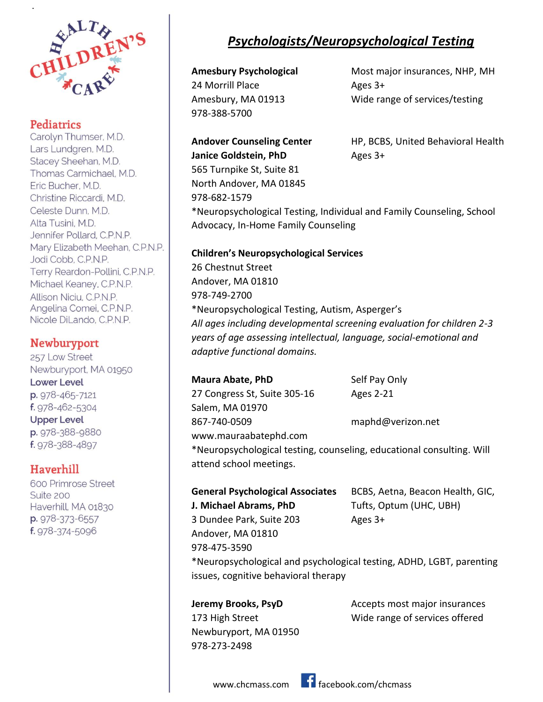

.

Carolyn Thumser, M.D. Lars Lundgren, M.D. Stacey Sheehan, M.D. Thomas Carmichael, M.D. Eric Bucher, M.D. Christine Riccardi, M.D. Celeste Dunn, M.D. Alta Tusini, M.D. Jennifer Pollard, C.P.N.P. Mary Elizabeth Meehan, C.P.N.P. Jodi Cobb, C.P.N.P. Terry Reardon-Pollini, C.P.N.P. Michael Keaney, C.P.N.P. Allison Niciu, C.P.N.P. Angelina Comei, C.P.N.P. Nicole DiLando, C.P.N.P.

## **Newburyport**

257 Low Street Newburyport, MA 01950 **Lower Level** p. 978-465-7121 f. 978-462-5304 **Upper Level** p. 978-388-9880 f. 978-388-4897

## Haverhill

600 Primrose Street Suite 200 Haverhill, MA 01830 p. 978-373-6557 f. 978-374-5096

## *Psychologists/Neuropsychological Testing*

24 Morrill Place Ages 3+ 978-388-5700

**Amesbury Psychological** Most major insurances, NHP, MH Amesbury, MA 01913 Wide range of services/testing

Andover Counseling Center **HP, BCBS, United Behavioral Health Janice Goldstein, PhD** Ages 3+ 565 Turnpike St, Suite 81 North Andover, MA 01845 978-682-1579

\*Neuropsychological Testing, Individual and Family Counseling, School Advocacy, In-Home Family Counseling

#### **Children's Neuropsychological Services**

26 Chestnut Street Andover, MA 01810 978-749-2700 \*Neuropsychological Testing, Autism, Asperger's *All ages including developmental screening evaluation for children 2-3 years of age assessing intellectual, language, social-emotional and adaptive functional domains.*

| <b>Maura Abate, PhD</b>                   |
|-------------------------------------------|
| 27 Congress St, Suite 305-16              |
| Salem, MA 01970                           |
| 867-740-0509                              |
| www.mauraabatephd.com                     |
| $*$ Nlourancychological tocting $\lambda$ |

**Self Pay Only** Ages 2-21

maphd@verizon.net

Neuropsychological testing, counseling, educational consulting. Will attend school meetings.

| <b>General Psychological Associates</b>      | BCBS, A   |
|----------------------------------------------|-----------|
| J. Michael Abrams, PhD                       | Tufts, O  |
| 3 Dundee Park, Suite 203                     | Ages $3+$ |
| Andover, MA 01810                            |           |
| 978-475-3590                                 |           |
| *Neuropsychological and psychological testir |           |
| issues cognitive hebavioral therany          |           |

Newburyport, MA 01950 978-273-2498

Aetna, Beacon Health, GIC, **Optum (UHC, UBH)** 

ting, ADHD, LGBT, parenting issues, cognitive behavioral therapy

**Jeremy Brooks, PsyD** Accepts most major insurances 173 High Street Wide range of services offered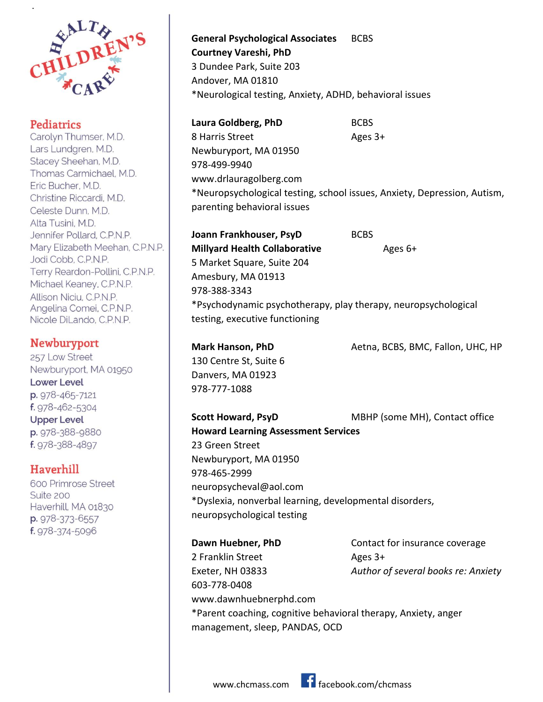

.

Carolyn Thumser, M.D. Lars Lundgren, M.D. Stacey Sheehan, M.D. Thomas Carmichael, M.D. Eric Bucher, M.D. Christine Riccardi, M.D. Celeste Dunn, M.D. Alta Tusini, M.D. Jennifer Pollard, C.P.N.P. Mary Elizabeth Meehan, C.P.N.P. Jodi Cobb, C.P.N.P. Terry Reardon-Pollini, C.P.N.P. Michael Keaney, C.P.N.P. Allison Niciu, C.P.N.P. Angelina Comei, C.P.N.P. Nicole DiLando, C.P.N.P.

## **Newburyport**

257 Low Street Newburyport, MA 01950 **Lower Level** p. 978-465-7121  $f.978 - 462 - 5304$ **Upper Level** p. 978-388-9880 f. 978-388-4897

#### Haverhill

600 Primrose Street Suite 200 Haverhill, MA 01830 p. 978-373-6557 f. 978-374-5096

**General Psychological Associates** BCBS **Courtney Vareshi, PhD** 3 Dundee Park, Suite 203 Andover, MA 01810 \*Neurological testing, Anxiety, ADHD, behavioral issues

Laura Goldberg, PhD BCBS 8 Harris Street Ages 3+ Newburyport, MA 01950 978-499-9940 www.drlauragolberg.com \*Neuropsychological testing, school issues, Anxiety, Depression, Autism, parenting behavioral issues

**Joann Frankhouser, PsyD** BCBS **Millyard Health Collaborative** Ages 6+ 5 Market Square, Suite 204 Amesbury, MA 01913 978-388-3343 \*Psychodynamic psychotherapy, play therapy, neuropsychological testing, executive functioning

**Mark Hanson, PhD** Aetna, BCBS, BMC, Fallon, UHC, HP 130 Centre St, Suite 6 Danvers, MA 01923 978-777-1088

**Scott Howard, PsyD** MBHP (some MH), Contact office **Howard Learning Assessment Services** 23 Green Street Newburyport, MA 01950 978-465-2999 neuropsycheval@aol.com \*Dyslexia, nonverbal learning, developmental disorders, neuropsychological testing

**Dawn Huebner, PhD** Contact for insurance coverage 2 Franklin Street Ages 3+ Exeter, NH 03833 *Author of several books re: Anxiety* 603-778-0408 www.dawnhuebnerphd.com \*Parent coaching, cognitive behavioral therapy, Anxiety, anger management, sleep, PANDAS, OCD

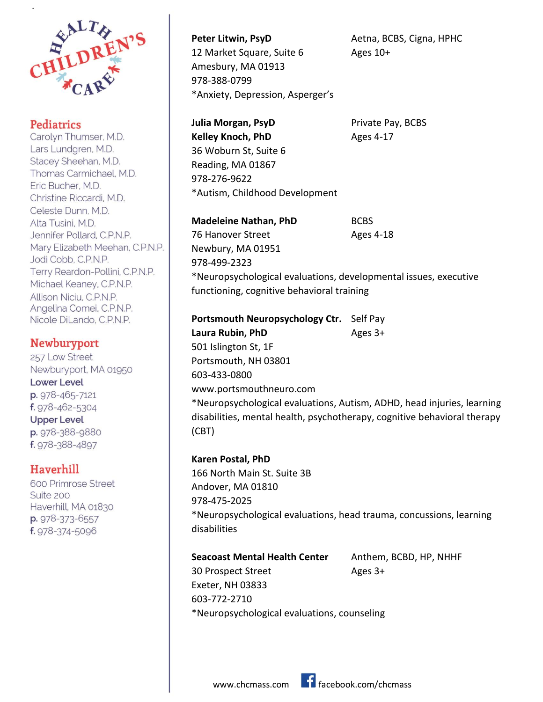

.

Carolyn Thumser, M.D. Lars Lundgren, M.D. Stacey Sheehan, M.D. Thomas Carmichael, M.D. Eric Bucher, M.D. Christine Riccardi, M.D. Celeste Dunn, M.D. Alta Tusini, M.D. Jennifer Pollard, C.P.N.P. Mary Elizabeth Meehan, C.P.N.P. Jodi Cobb, C.P.N.P. Terry Reardon-Pollini, C.P.N.P. Michael Keaney, C.P.N.P. Allison Niciu, C.P.N.P. Angelina Comei, C.P.N.P. Nicole DiLando, C.P.N.P.

## **Newburyport**

257 Low Street Newburyport, MA 01950 **Lower Level** p. 978-465-7121 f. 978-462-5304 **Upper Level** p. 978-388-9880 f. 978-388-4897

#### Haverhill

600 Primrose Street Suite 200 Haverhill, MA 01830 p. 978-373-6557 f. 978-374-5096

Peter Litwin, PsyD<br>
Aetna, BCBS, Cigna, HPHC 12 Market Square, Suite 6 Ages 10+ Amesbury, MA 01913 978-388-0799 \*Anxiety, Depression, Asperger's

**Julia Morgan, PsyD** Private Pay, BCBS **Kelley Knoch, PhD** Ages 4-17 36 Woburn St, Suite 6 Reading, MA 01867 978-276-9622 \*Autism, Childhood Development

**Madeleine Nathan, PhD** BCBS 76 Hanover Street Ages 4-18 Newbury, MA 01951 978-499-2323 \*Neuropsychological evaluations, developmental issues, executive functioning, cognitive behavioral training

**Portsmouth Neuropsychology Ctr.** Self Pay **Laura Rubin, PhD** Ages 3+ 501 Islington St, 1F Portsmouth, NH 03801 603-433-0800 www.portsmouthneuro.com \*Neuropsychological evaluations, Autism, ADHD, head injuries, learning disabilities, mental health, psychotherapy, cognitive behavioral therapy (CBT)

**Karen Postal, PhD** 166 North Main St. Suite 3B Andover, MA 01810 978-475-2025 \*Neuropsychological evaluations, head trauma, concussions, learning disabilities

**Seacoast Mental Health Center** Anthem, BCBD, HP, NHHF 30 Prospect Street Ages 3+ Exeter, NH 03833 603-772-2710 \*Neuropsychological evaluations, counseling